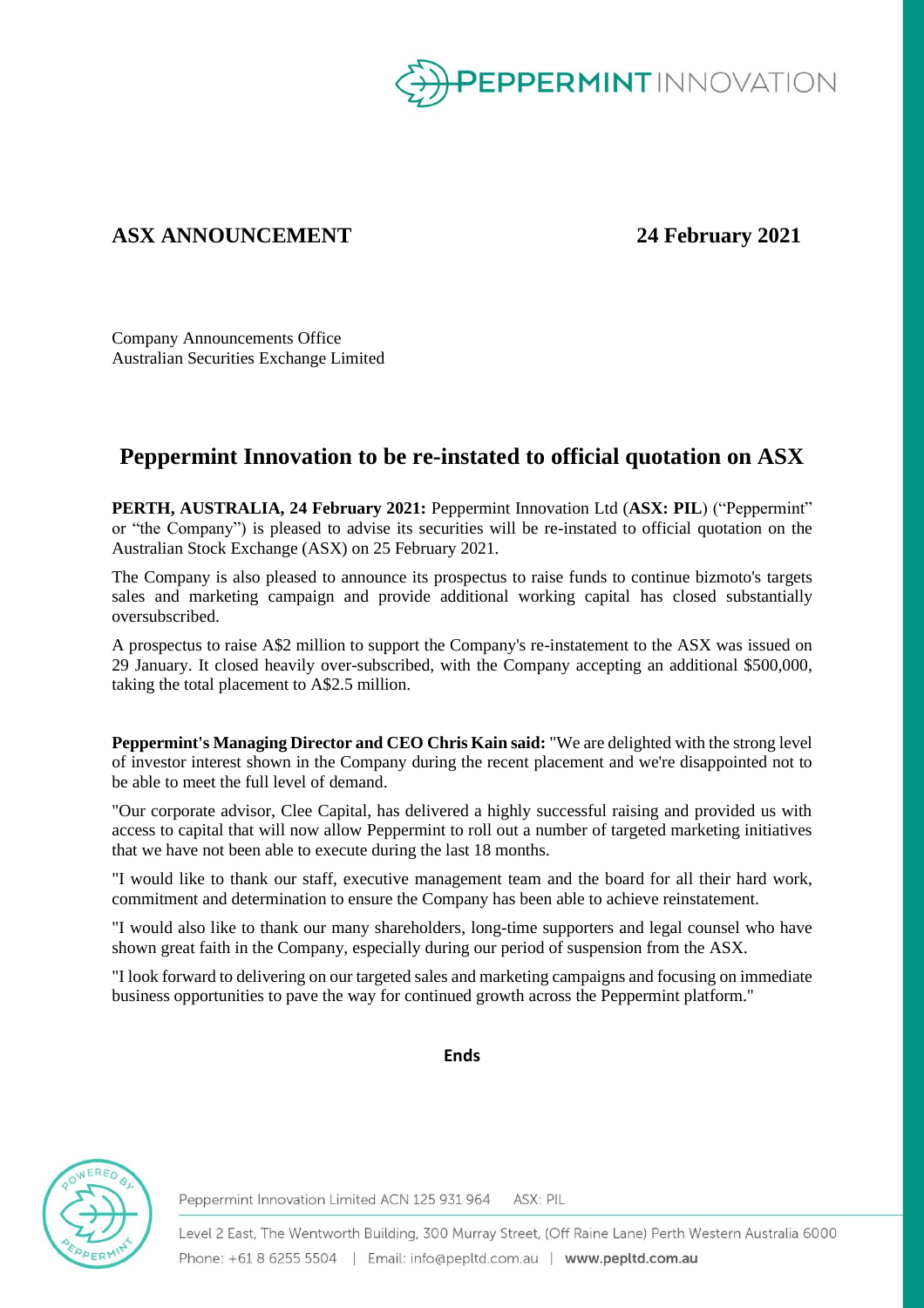

## **ASX ANNOUNCEMENT 24 February 2021**

Company Announcements Office Australian Securities Exchange Limited

## **Peppermint Innovation to be re-instated to official quotation on ASX**

**PERTH, AUSTRALIA, 24 February 2021:** Peppermint Innovation Ltd (**ASX: PIL**) ("Peppermint" or "the Company") is pleased to advise its securities will be re-instated to official quotation on the Australian Stock Exchange (ASX) on 25 February 2021.

The Company is also pleased to announce its prospectus to raise funds to continue bizmoto's targets sales and marketing campaign and provide additional working capital has closed substantially oversubscribed.

A prospectus to raise A\$2 million to support the Company's re-instatement to the ASX was issued on 29 January. It closed heavily over-subscribed, with the Company accepting an additional \$500,000, taking the total placement to A\$2.5 million.

**Peppermint's Managing Director and CEO Chris Kain said:** "We are delighted with the strong level of investor interest shown in the Company during the recent placement and we're disappointed not to be able to meet the full level of demand.

"Our corporate advisor, Clee Capital, has delivered a highly successful raising and provided us with access to capital that will now allow Peppermint to roll out a number of targeted marketing initiatives that we have not been able to execute during the last 18 months.

"I would like to thank our staff, executive management team and the board for all their hard work, commitment and determination to ensure the Company has been able to achieve reinstatement.

"I would also like to thank our many shareholders, long-time supporters and legal counsel who have shown great faith in the Company, especially during our period of suspension from the ASX.

"I look forward to delivering on our targeted sales and marketing campaigns and focusing on immediate business opportunities to pave the way for continued growth across the Peppermint platform."

## **Ends**



Peppermint Innovation Limited ACN 125 931 964 ASX: PIL

Level 2 East, The Wentworth Building, 300 Murray Street, (Off Raine Lane) Perth Western Australia 6000 Phone: +61 8 6255 5504 | Email: info@pepltd.com.au | www.pepltd.com.au